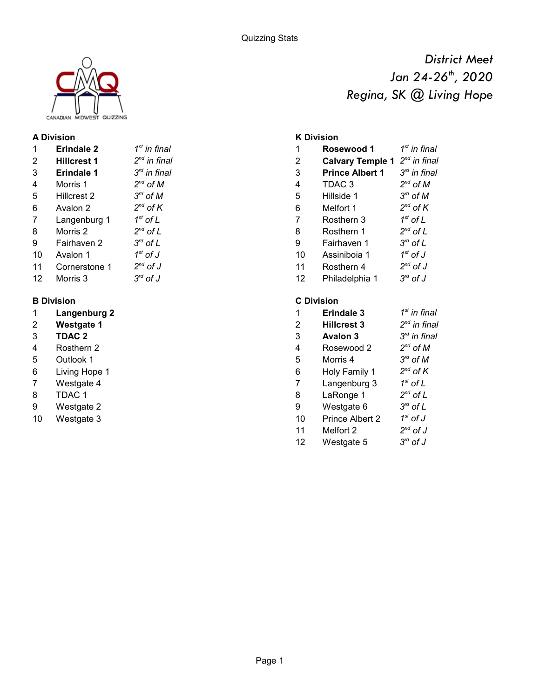

#### **A Division K Division**

| $\mathbf{1}$      | <b>Erindale 2</b>  | $1st$ in final                |    | Rosewood 1              |
|-------------------|--------------------|-------------------------------|----|-------------------------|
| $\overline{2}$    | <b>Hillcrest 1</b> | $2^{nd}$ in final             | 2  | <b>Calvary Temple 1</b> |
| 3                 | <b>Erindale 1</b>  | $3rd$ in final                | 3  | <b>Prince Albert 1</b>  |
| 4                 | Morris 1           | $2^{nd}$ of M                 | 4  | TDAC <sub>3</sub>       |
| 5                 | Hillcrest 2        | $3^{rd}$ of M                 | 5  | Hillside 1              |
| 6                 | Avalon 2           | $2^{nd}$ of K                 | 6  | Melfort 1               |
| 7                 | Langenburg 1       | $1^{\rm st}$ of L             | 7  | Rosthern 3              |
| 8                 | Morris 2           | $2^{nd}$ of L                 | 8  | Rosthern 1              |
| 9                 | Fairhaven 2        | $3^{rd}$ of L                 | 9  | Fairhaven 1             |
| 10                | Avalon 1           | $1^\mathrm{st}$ of J          | 10 | Assiniboja 1            |
| 11                | Cornerstone 1      | $2^{nd}$ of J                 | 11 | Rosthern 4              |
| $12 \overline{ }$ | Morris 3           | $3^{\prime\prime\prime}$ of J | 12 | Philadelphia 1          |
|                   |                    |                               |    |                         |

- 
- 
- 
- 
- 5 Outlook 1
- 6 Living Hope 1
- 
- 8 TDAC 1
- 
- 

*District Meet Regina, SK @ Living Hope Jan 24-26th, 2020*

| <sup>st</sup> in final                      | 1              | Rosewood 1              | $1st$ in final          |
|---------------------------------------------|----------------|-------------------------|-------------------------|
| <sup>nd</sup> in final                      | $\overline{2}$ | <b>Calvary Temple 1</b> | $2^{nd}$ in final       |
| <sup>rd</sup> in final                      | 3              | <b>Prince Albert 1</b>  | $3rd$ in final          |
| $^{nd}$ of M                                | 4              | TDAC <sub>3</sub>       | $2^{nd}$ of M           |
| $T^d$ of $M$                                | 5              | Hillside 1              | $3^{rd}$ of M           |
| $\mathsf{d}$ of $\mathsf{K}$                | 6              | Melfort 1               | $2^{nd}$ of K           |
| $^{\rm st}$ of L                            | 7              | Rosthern 3              | $1st$ of L              |
| $\overline{\phantom{a}}^{\mathsf{nd}}$ of L | 8              | Rosthern 1              | $2^{nd}$ of L           |
| $\mathsf{r}^{\mathsf{rd}}$ of $\mathsf{L}$  | 9              | Fairhaven 1             | $3^{rd}$ of L           |
| $^{\rm st}$ of J                            | 10             | Assiniboia 1            | $1st$ of J              |
| $\overline{d}$ of J                         | 11             | Rosthern 4              | $2^{nd}$ of J           |
| $^{rd}$ of J                                | 12             | Philadelphia 1          | $3^{\prime\prime}$ of J |
|                                             |                |                         |                         |

#### **B Division C Division**

| 1  | Langenburg 2      |    | <b>Erindale 3</b>  | $1st$ in final                |
|----|-------------------|----|--------------------|-------------------------------|
| 2  | <b>Westgate 1</b> | 2  | <b>Hillcrest 3</b> | $2^{nd}$ in final             |
| 3  | <b>TDAC 2</b>     | 3  | <b>Avalon 3</b>    | $3rd$ in final                |
| 4  | Rosthern 2        | 4  | Rosewood 2         | $2^{nd}$ of M                 |
| 5  | Outlook 1         | 5  | Morris 4           | $3^{\prime\prime}$ of M       |
| 6  | Living Hope 1     | 6  | Holy Family 1      | $2^{nd}$ of K                 |
| 7  | Westgate 4        |    | Langenburg 3       | $1st$ of L                    |
| 8  | TDAC 1            | 8  | LaRonge 1          | $2^{nd}$ of L                 |
| 9  | Westgate 2        | 9  | Westgate 6         | $3^{\prime\prime\prime}$ of L |
| 10 | Westgate 3        | 10 | Prince Albert 2    | $1st$ of J                    |
|    |                   | 11 | Melfort 2          | $2^{nd}$ of J                 |
|    |                   | 12 | Westgate 5         | $3^{\prime\prime\prime}$ of J |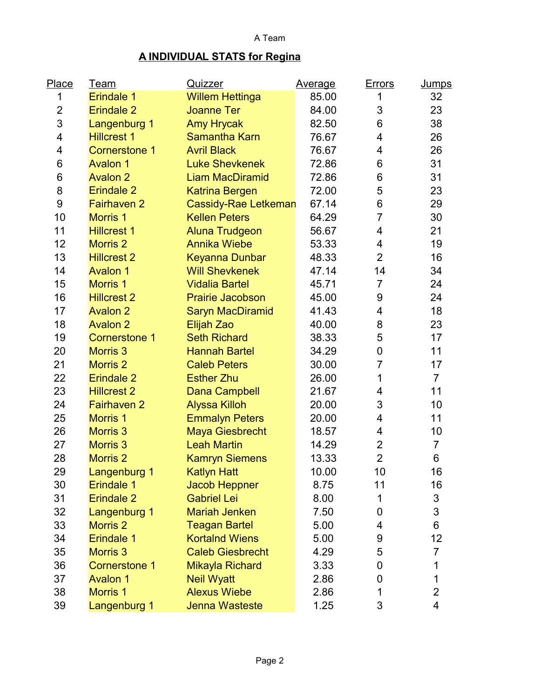## **A INDIVIDUAL STATS for Regina**

| Place            | <u>Team</u>           | Quizzer                     | <b>Average</b> | <u>Errors</u>  | <b>Jumps</b>   |
|------------------|-----------------------|-----------------------------|----------------|----------------|----------------|
| 1                | Erindale <sub>1</sub> | <b>Willem Hettinga</b>      | 85.00          | 1              | 32             |
| $\overline{2}$   | <b>Erindale 2</b>     | <b>Joanne Ter</b>           | 84.00          | 3              | 23             |
| 3                | Langenburg 1          | <b>Amy Hrycak</b>           | 82.50          | 6              | 38             |
| 4                | <b>Hillcrest 1</b>    | <b>Samantha Karn</b>        | 76.67          | 4              | 26             |
| 4                | <b>Cornerstone 1</b>  | <b>Avril Black</b>          | 76.67          | 4              | 26             |
| 6                | <b>Avalon 1</b>       | <b>Luke Shevkenek</b>       | 72.86          | 6              | 31             |
| 6                | <b>Avalon 2</b>       | <b>Liam MacDiramid</b>      | 72.86          | 6              | 31             |
| 8                | <b>Erindale 2</b>     | <b>Katrina Bergen</b>       | 72.00          | 5              | 23             |
| $\boldsymbol{9}$ | <b>Fairhaven 2</b>    | <b>Cassidy-Rae Letkeman</b> | 67.14          | 6              | 29             |
| 10               | <b>Morris 1</b>       | <b>Kellen Peters</b>        | 64.29          | $\overline{7}$ | 30             |
| 11               | <b>Hillcrest 1</b>    | <b>Aluna Trudgeon</b>       | 56.67          | 4              | 21             |
| 12               | <b>Morris 2</b>       | <b>Annika Wiebe</b>         | 53.33          | 4              | 19             |
| 13               | <b>Hillcrest 2</b>    | <b>Keyanna Dunbar</b>       | 48.33          | $\overline{2}$ | 16             |
| 14               | <b>Avalon 1</b>       | <b>Will Shevkenek</b>       | 47.14          | 14             | 34             |
| 15               | <b>Morris 1</b>       | <b>Vidalia Bartel</b>       | 45.71          | $\overline{7}$ | 24             |
| 16               | <b>Hillcrest 2</b>    | <b>Prairie Jacobson</b>     | 45.00          | 9              | 24             |
| 17               | <b>Avalon 2</b>       | <b>Saryn MacDiramid</b>     | 41.43          | 4              | 18             |
| 18               | <b>Avalon 2</b>       | Elijah Zao                  | 40.00          | 8              | 23             |
| 19               | <b>Cornerstone 1</b>  | <b>Seth Richard</b>         | 38.33          | 5              | 17             |
| 20               | <b>Morris 3</b>       | <b>Hannah Bartel</b>        | 34.29          | 0              | 11             |
| 21               | <b>Morris 2</b>       | <b>Caleb Peters</b>         | 30.00          | $\overline{7}$ | 17             |
| 22               | <b>Erindale 2</b>     | <b>Esther Zhu</b>           | 26.00          | 1              | $\overline{7}$ |
| 23               | <b>Hillcrest 2</b>    | <b>Dana Campbell</b>        | 21.67          | 4              | 11             |
| 24               | <b>Fairhaven 2</b>    | <b>Alyssa Killoh</b>        | 20.00          | 3              | 10             |
| 25               | <b>Morris 1</b>       | <b>Emmalyn Peters</b>       | 20.00          | 4              | 11             |
| 26               | <b>Morris 3</b>       | <b>Maya Giesbrecht</b>      | 18.57          | 4              | 10             |
| 27               | <b>Morris 3</b>       | <b>Leah Martin</b>          | 14.29          | $\overline{2}$ | $\overline{7}$ |
| 28               | <b>Morris 2</b>       | <b>Kamryn Siemens</b>       | 13.33          | $\overline{2}$ | 6              |
| 29               | Langenburg 1          | <b>Katlyn Hatt</b>          | 10.00          | 10             | 16             |
| 30               | <b>Erindale 1</b>     | <b>Jacob Heppner</b>        | 8.75           | 11             | 16             |
| 31               | Erindale 2            | <b>Gabriel Lei</b>          | 8.00           | 1              | $\mathfrak{S}$ |
| 32               | Langenburg 1          | <b>Mariah Jenken</b>        | 7.50           | 0              | 3              |
| 33               | <b>Morris 2</b>       | <b>Teagan Bartel</b>        | 5.00           | 4              | $\,6$          |
| 34               | <b>Erindale 1</b>     | <b>Kortalnd Wiens</b>       | 5.00           | 9              | 12             |
| 35               | <b>Morris 3</b>       | <b>Caleb Giesbrecht</b>     | 4.29           | 5              | $\overline{7}$ |
| 36               | <b>Cornerstone 1</b>  | Mikayla Richard             | 3.33           | 0              | 1              |
| 37               | <b>Avalon 1</b>       | <b>Neil Wyatt</b>           | 2.86           | 0              | 1              |
| 38               | <b>Morris 1</b>       | <b>Alexus Wiebe</b>         | 2.86           | 1              | $\overline{2}$ |
| 39               | Langenburg 1          | <b>Jenna Wasteste</b>       | 1.25           | 3              | 4              |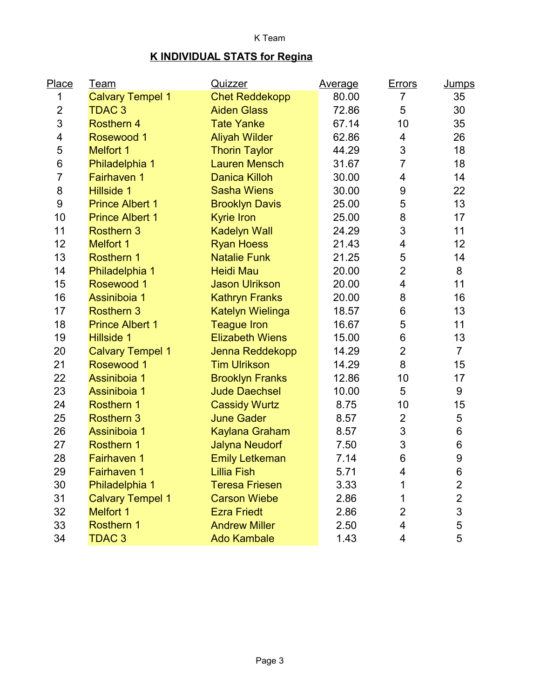## K Team

# **K INDIVIDUAL STATS for Regina**

| Place            | <u>Team</u>             | Quizzer                 | <u>Average</u> | <b>Errors</b>           | <u>Jumps</u>     |
|------------------|-------------------------|-------------------------|----------------|-------------------------|------------------|
| 1                | <b>Calvary Tempel 1</b> | <b>Chet Reddekopp</b>   | 80.00          | $\overline{7}$          | 35               |
| $\overline{c}$   | <b>TDAC3</b>            | <b>Aiden Glass</b>      | 72.86          | 5                       | 30               |
| 3                | <b>Rosthern 4</b>       | <b>Tate Yanke</b>       | 67.14          | 10                      | 35               |
| 4                | Rosewood 1              | <b>Aliyah Wilder</b>    | 62.86          | 4                       | 26               |
| 5                | <b>Melfort 1</b>        | <b>Thorin Taylor</b>    | 44.29          | 3                       | 18               |
| 6                | Philadelphia 1          | <b>Lauren Mensch</b>    | 31.67          | $\overline{7}$          | 18               |
| $\overline{7}$   | <b>Fairhaven 1</b>      | <b>Danica Killoh</b>    | 30.00          | 4                       | 14               |
| 8                | <b>Hillside 1</b>       | <b>Sasha Wiens</b>      | 30.00          | 9                       | 22               |
| $\boldsymbol{9}$ | <b>Prince Albert 1</b>  | <b>Brooklyn Davis</b>   | 25.00          | 5                       | 13               |
| 10               | <b>Prince Albert 1</b>  | <b>Kyrie Iron</b>       | 25.00          | 8                       | 17               |
| 11               | <b>Rosthern 3</b>       | <b>Kadelyn Wall</b>     | 24.29          | 3                       | 11               |
| 12               | <b>Melfort 1</b>        | <b>Ryan Hoess</b>       | 21.43          | 4                       | 12               |
| 13               | <b>Rosthern 1</b>       | <b>Natalie Funk</b>     | 21.25          | 5                       | 14               |
| 14               | Philadelphia 1          | <b>Heidi Mau</b>        | 20.00          | $\overline{2}$          | 8                |
| 15               | Rosewood 1              | <b>Jason Ulrikson</b>   | 20.00          | 4                       | 11               |
| 16               | Assiniboia 1            | <b>Kathryn Franks</b>   | 20.00          | 8                       | 16               |
| 17               | <b>Rosthern 3</b>       | <b>Katelyn Wielinga</b> | 18.57          | 6                       | 13               |
| 18               | <b>Prince Albert 1</b>  | <b>Teague Iron</b>      | 16.67          | 5                       | 11               |
| 19               | <b>Hillside 1</b>       | <b>Elizabeth Wiens</b>  | 15.00          | 6                       | 13               |
| 20               | <b>Calvary Tempel 1</b> | Jenna Reddekopp         | 14.29          | $\overline{2}$          | $\overline{7}$   |
| 21               | Rosewood 1              | <b>Tim Ulrikson</b>     | 14.29          | 8                       | 15               |
| 22               | Assiniboia 1            | <b>Brooklyn Franks</b>  | 12.86          | 10                      | 17               |
| 23               | Assiniboia 1            | <b>Jude Daechsel</b>    | 10.00          | 5                       | 9                |
| 24               | <b>Rosthern 1</b>       | <b>Cassidy Wurtz</b>    | 8.75           | 10                      | 15               |
| 25               | <b>Rosthern 3</b>       | <b>June Gader</b>       | 8.57           | $\overline{2}$          | $\mathbf 5$      |
| 26               | Assiniboia 1            | <b>Kaylana Graham</b>   | 8.57           | 3                       | $\,6$            |
| 27               | <b>Rosthern 1</b>       | <b>Jalyna Neudorf</b>   | 7.50           | $\mathsf 3$             | $\,6$            |
| 28               | <b>Fairhaven 1</b>      | <b>Emily Letkeman</b>   | 7.14           | $6\phantom{1}$          | $\boldsymbol{9}$ |
| 29               | <b>Fairhaven 1</b>      | Lillia Fish             | 5.71           | 4                       | 6                |
| 30               | Philadelphia 1          | <b>Teresa Friesen</b>   | 3.33           | 1                       | $\overline{2}$   |
| 31               | <b>Calvary Tempel 1</b> | <b>Carson Wiebe</b>     | 2.86           | 1                       | $\overline{2}$   |
| 32               | <b>Melfort 1</b>        | <b>Ezra Friedt</b>      | 2.86           | $\overline{2}$          | 3                |
| 33               | <b>Rosthern 1</b>       | <b>Andrew Miller</b>    | 2.50           | $\overline{\mathbf{4}}$ | 5                |
| 34               | <b>TDAC 3</b>           | <b>Ado Kambale</b>      | 1.43           | 4                       | 5                |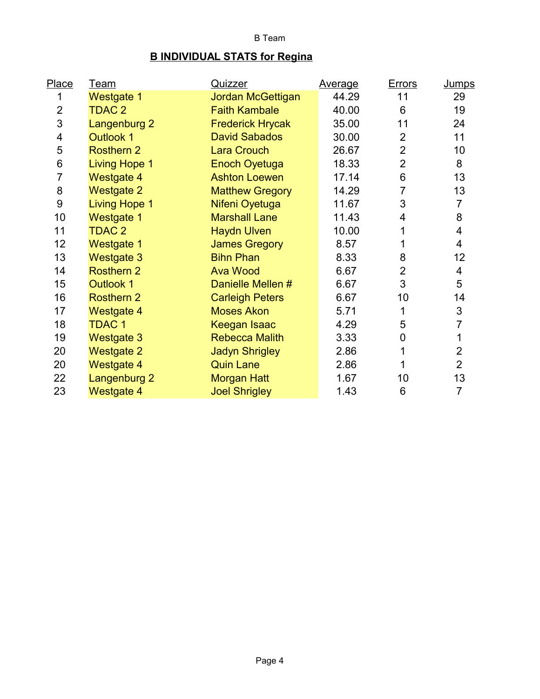## B Team

# **B INDIVIDUAL STATS for Regina**

| Place                   | <u>Team</u>          | Quizzer                 | <b>Average</b> | <b>Errors</b>  | <b>Jumps</b>             |
|-------------------------|----------------------|-------------------------|----------------|----------------|--------------------------|
| 1                       | <b>Westgate 1</b>    | Jordan McGettigan       | 44.29          | 11             | 29                       |
| $\overline{2}$          | <b>TDAC 2</b>        | <b>Faith Kambale</b>    | 40.00          | 6              | 19                       |
| 3                       | Langenburg 2         | <b>Frederick Hrycak</b> | 35.00          | 11             | 24                       |
| $\overline{\mathbf{4}}$ | <b>Outlook 1</b>     | <b>David Sabados</b>    | 30.00          | $\overline{2}$ | 11                       |
| 5                       | <b>Rosthern 2</b>    | <b>Lara Crouch</b>      | 26.67          | $\overline{2}$ | 10                       |
| $\,6$                   | <b>Living Hope 1</b> | <b>Enoch Oyetuga</b>    | 18.33          | $\overline{2}$ | 8                        |
| $\overline{7}$          | <b>Westgate 4</b>    | <b>Ashton Loewen</b>    | 17.14          | 6              | 13                       |
| 8                       | <b>Westgate 2</b>    | <b>Matthew Gregory</b>  | 14.29          | $\overline{7}$ | 13                       |
| 9                       | <b>Living Hope 1</b> | Nifeni Oyetuga          | 11.67          | 3              | $\overline{7}$           |
| 10                      | <b>Westgate 1</b>    | <b>Marshall Lane</b>    | 11.43          | 4              | 8                        |
| 11                      | <b>TDAC 2</b>        | <b>Haydn Ulven</b>      | 10.00          | 1              | $\overline{\mathcal{A}}$ |
| 12                      | <b>Westgate 1</b>    | <b>James Gregory</b>    | 8.57           |                | $\overline{4}$           |
| 13                      | <b>Westgate 3</b>    | <b>Bihn Phan</b>        | 8.33           | 8              | 12                       |
| 14                      | <b>Rosthern 2</b>    | <b>Ava Wood</b>         | 6.67           | $\overline{2}$ | $\overline{\mathcal{A}}$ |
| 15                      | <b>Outlook 1</b>     | Danielle Mellen #       | 6.67           | 3              | 5                        |
| 16                      | <b>Rosthern 2</b>    | <b>Carleigh Peters</b>  | 6.67           | 10             | 14                       |
| 17                      | <b>Westgate 4</b>    | <b>Moses Akon</b>       | 5.71           | 1              | $\sqrt{3}$               |
| 18                      | <b>TDAC1</b>         | <b>Keegan Isaac</b>     | 4.29           | 5              | 7                        |
| 19                      | <b>Westgate 3</b>    | <b>Rebecca Malith</b>   | 3.33           | 0              | 1                        |
| 20                      | <b>Westgate 2</b>    | <b>Jadyn Shrigley</b>   | 2.86           | 1              | $\overline{2}$           |
| 20                      | <b>Westgate 4</b>    | <b>Quin Lane</b>        | 2.86           |                | $\overline{2}$           |
| 22                      | Langenburg 2         | <b>Morgan Hatt</b>      | 1.67           | 10             | 13                       |
| 23                      | <b>Westgate 4</b>    | <b>Joel Shrigley</b>    | 1.43           | 6              | $\overline{7}$           |